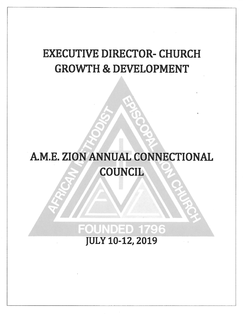## **EXECUTIVE DIRECTOR- CHURCH GROWTH & DEVELOPMENT**

# A.M.E. ZION ANNUAL CONNECTIONAL **COUNCIL**

### **FOUNDED 1796 JULY 10-12, 2019**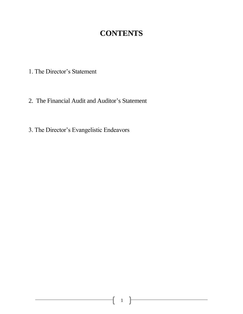### **CONTENTS**

- 1. The Director's Statement
- 2. The Financial Audit and Auditor's Statement
- 3. The Director's Evangelistic Endeavors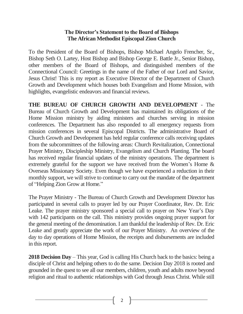#### **The Director's Statement to the Board of Bishops The African Methodist Episcopal Zion Church**

To the President of the Board of Bishops, Bishop Michael Angelo Frencher, Sr., Bishop Seth O. Lartey, Host Bishop and Bishop George E. Battle Jr., Senior Bishop, other members of the Board of Bishops, and distinguished members of the Connectional Council: Greetings in the name of the Father of our Lord and Savior, Jesus Christ! This is my report as Executive Director of the Department of Church Growth and Development which houses both Evangelism and Home Mission, with highlights, evangelistic endeavors and financial reviews.

**THE BUREAU OF CHURCH GROWTH AND DEVELOPMENT** - The Bureau of Church Growth and Development has maintained its obligations of the Home Mission ministry by aiding ministers and churches serving in mission conferences. The Department has also responded to all emergency requests from mission conferences in several Episcopal Districts. The administrative Board of Church Growth and Development has held regular conference calls receiving updates from the subcommittees of the following areas: Church Revitalization, Connectional Prayer Ministry, Discipleship Ministry, Evangelism and Church Planting. The board has received regular financial updates of the ministry operations. The department is extremely grateful for the support we have received from the Women's Home & Overseas Missionary Society. Even though we have experienced a reduction in their monthly support, we will strive to continue to carry out the mandate of the department of "Helping Zion Grow at Home."

The Prayer Ministry - The Bureau of Church Growth and Development Director has participated in several calls to prayer led by our Prayer Coordinator, Rev. Dr. Eric Leake. The prayer ministry sponsored a special call to prayer on New Year's Day with 142 participants on the call. This ministry provides ongoing prayer support for the general meeting of the denomination. I am thankful the leadership of Rev. Dr. Eric Leake and greatly appreciate the work of our Prayer Ministry. An overview of the day to day operations of Home Mission, the receipts and disbursements are included in this report.

**2018 Decision Day** – This year, God is calling His Church back to the basics: being a disciple of Christ and helping others to do the same. Decision Day 2018 is rooted and grounded in the quest to see all our members, children, youth and adults move beyond religion and ritual to authentic relationships with God through Jesus Christ. While still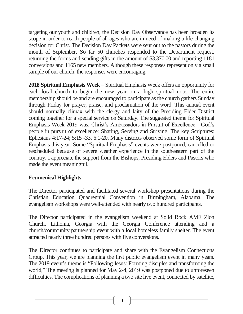targeting our youth and children, the Decision Day Observance has been broaden its scope in order to reach people of all ages who are in need of making a life-changing decision for Christ. The Decision Day Packets were sent out to the pastors during the month of September. So far 50 churches responded to the Department request, returning the forms and sending gifts in the amount of \$3,370.00 and reporting 1181 conversions and 1165 new members. Although these responses represent only a small sample of our church, the responses were encouraging.

**2018 Spiritual Emphasis Week** – Spiritual Emphasis Week offers an opportunity for each local church to begin the new year on a high spiritual note. The entire membership should be and are encouraged to participate as the church gathers Sunday through Friday for prayer, praise, and proclamation of the word. This annual event should normally climax with the clergy and laity of the Presiding Elder District coming together for a special service on Saturday. The suggested theme for Spiritual Emphasis Week 2019 was: Christ's Ambassadors in Pursuit of Excellence - God's people in pursuit of excellence: Sharing, Serving and Striving. The key Scriptures: Ephesians 4:17-24; 5:15 -33, 6:1-20. Many districts observed some form of Spiritual Emphasis this year. Some "Spiritual Emphasis" events were postponed, cancelled or rescheduled because of severe weather experience in the southeastern part of the country. I appreciate the support from the Bishops, Presiding Elders and Pastors who made the event meaningful.

#### **Ecumenical Highlights**

The Director participated and facilitated several workshop presentations during the Christian Education Quadrennial Convention in Birmingham, Alabama. The evangelism workshops were well-attended with nearly two hundred participants.

The Director participated in the evangelism weekend at Solid Rock AME Zion Church, Lithonia, Georgia with the Georgia Conference attending and a church/community partnership event with a local homeless family shelter. The event attracted nearly three hundred persons with five conversions.

The Director continues to participate and share with the Evangelism Connections Group. This year, we are planning the first public evangelism event in many years. The 2019 event's theme is "Following Jesus: Forming disciples and transforming the world," The meeting is planned for May 2-4, 2019 was postponed due to unforeseen difficulties. The complications of planning a two site live event, connected by satellite,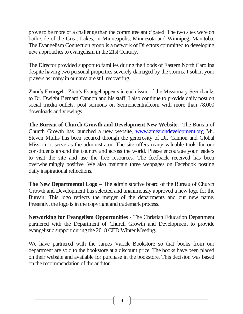prove to be more of a challenge than the committee anticipated. The two sites were on both side of the Great Lakes, in Minneapolis, Minnesota and Winnipeg, Manitoba. The Evangelism Connection group is a network of Directors committed to developing new approaches to evangelism in the 21st Century.

The Director provided support to families during the floods of Eastern North Carolina despite having two personal properties severely damaged by the storms. I solicit your prayers as many in our area are still recovering.

**Zion's Evangel** - Zion's Evangel appears in each issue of the Missionary Seer thanks to Dr. Dwight Bernard Cannon and his staff. I also continue to provide daily post on social media outlets, post sermons on Sermoncentral.com with more than 78,000 downloads and viewings.

**The Bureau of Church Growth and Development New Website** - The Bureau of Church Growth has launched a new website, [www.ameziondevelopment.org](http://www.ameziondevelopment.org/) Mr. Steven Mullis has been secured through the generosity of Dr. Cannon and Global Mission to serve as the administrator. The site offers many valuable tools for our constituents around the country and across the world. Please encourage your leaders to visit the site and use the free resources. The feedback received has been overwhelmingly positive. We also maintain three webpages on Facebook posting daily inspirational reflections.

**The New Departmental Logo** – The administrative board of the Bureau of Church Growth and Development has selected and unanimously approved a new logo for the Bureau. This logo reflects the merger of the departments and our new name. Presently, the logo is in the copyright and trademark process.

**Networking for Evangelism Opportunities -** The Christian Education Department partnered with the Department of Church Growth and Development to provide evangelistic support during the 2018 CED Winter Meeting.

We have partnered with the James Varick Bookstore so that books from our department are sold to the bookstore at a discount price. The books have been placed on their website and available for purchase in the bookstore. This decision was based on the recommendation of the auditor.

4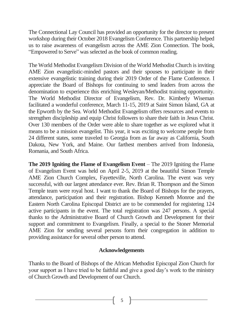The Connectional Lay Council has provided an opportunity for the director to present workshop during their October 2018 Evangelism Conference. This partnership helped us to raise awareness of evangelism across the AME Zion Connection. The book, "Empowered to Serve" was selected as the book of common reading.

The World Methodist Evangelism Division of the World Methodist Church is inviting AME Zion evangelistic-minded pastors and their spouses to participate in their extensive evangelistic training during their 2019 Order of the Flame Conference. I appreciate the Board of Bishops for continuing to send leaders from across the denomination to experience this enriching Wesleyan/Methodist training opportunity. The World Methodist Director of Evangelism, Rev. Dr. Kimberly Wiseman facilitated a wonderful conference, March 11-15, 2019 at Saint Simon Island, GA at the Epworth by the Sea. World Methodist Evangelism offers resources and events to strengthen discipleship and equip Christ followers to share their faith in Jesus Christ. Over 130 members of the Order were able to share together as we explored what it means to be a mission evangelist. This year, it was exciting to welcome people from 24 different states, some traveled to Georgia from as far away as California, South Dakota, New York, and Maine. Our farthest members arrived from Indonesia, Romania, and South Africa.

**The 2019 Igniting the Flame of Evangelism Event** – The 2019 Igniting the Flame of Evangelism Event was held on April 2-5, 2019 at the beautiful Simon Temple AME Zion Church Complex, Fayetteville, North Carolina. The event was very successful, with our largest attendance ever. Rev. Brian R. Thompson and the Simon Temple team were royal host. I want to thank the Board of Bishops for the prayers, attendance, participation and their registration. Bishop Kenneth Monroe and the Eastern North Carolina Episcopal District are to be commended for registering 124 active participants in the event. The total registration was 247 persons. A special thanks to the Administrative Board of Church Growth and Development for their support and commitment to Evangelism. Finally, a special to the Stoner Memorial AME Zion for sending several persons form their congregation in addition to providing assistance for several other person to attend.

#### **Acknowledgements**

Thanks to the Board of Bishops of the African Methodist Episcopal Zion Church for your support as I have tried to be faithful and give a good day's work to the ministry of Church Growth and Development of our Church.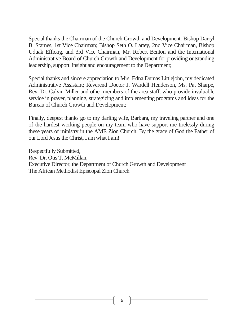Special thanks the Chairman of the Church Growth and Development: Bishop Darryl B. Starnes, 1st Vice Chairman; Bishop Seth O. Lartey, 2nd Vice Chairman, Bishop Uduak Effiong, and 3rd Vice Chairman, Mr. Robert Benton and the International Administrative Board of Church Growth and Development for providing outstanding leadership, support, insight and encouragement to the Department;

Special thanks and sincere appreciation to Mrs. Edna Dumas Littlejohn, my dedicated Administrative Assistant; Reverend Doctor J. Wardell Henderson, Ms. Pat Sharpe, Rev. Dr. Calvin Miller and other members of the area staff, who provide invaluable service in prayer, planning, strategizing and implementing programs and ideas for the Bureau of Church Growth and Development;

Finally, deepest thanks go to my darling wife, Barbara, my traveling partner and one of the hardest working people on my team who have support me tirelessly during these years of ministry in the AME Zion Church. By the grace of God the Father of our Lord Jesus the Christ, I am what I am!

Respectfully Submitted, Rev. Dr. Otis T. McMillan, Executive Director, the Department of Church Growth and Development The African Methodist Episcopal Zion Church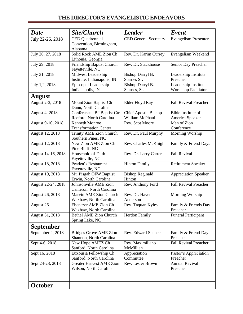| <b>Date</b>        | Site/Church                                               | <b>Leader</b>                                  | Event                                        |
|--------------------|-----------------------------------------------------------|------------------------------------------------|----------------------------------------------|
| July 22-26, 2018   | CED Quadrennial<br>Convention, Birmingham,<br>Alabama     | <b>CED General Secretary</b>                   | <b>Evangelism Presenter</b>                  |
| July 26, 27, 2018  | Solid Rock AME Zion Ch<br>Lithonia, Georgia               | Rev. Dr. Karim Currey                          | Evangelism Weekend                           |
| July 29, 2018      | Friendship Baptist Church<br>Fayetteville, NC             | Rev. Dr. Stackhouse                            | Senior Day Preacher                          |
| July 31, 2018      | Midwest Leadership<br>Institute, Indianapolis, IN         | Bishop Darryl B.<br>Starnes Sr.                | Leadership Institute<br>Preacher             |
| July 1,2, 2018     | Episcopal Leadership<br>Indianapolis, IN                  | Bishop Darryl B.<br>Starnes, Sr.               | Leadership Institute<br>Workshop Faciliator  |
| <b>August</b>      |                                                           |                                                |                                              |
| August 2-3, 2018   | Mount Zion Baptist Ch<br>Dunn, North Carolina             | Elder Floyd Ray                                | <b>Fall Revival Preacher</b>                 |
| August 4, 2018     | Conference "B" Baptist Ctr<br>Raeford, North Carolina     | <b>Chief Apostle Bishop</b><br>William McPhaul | <b>Bible Institute of</b><br>America Speaker |
| August 9-10, 2018  | <b>Kenneth Monroe</b><br><b>Transformation Center</b>     | Rev. Scot Moore                                | Men of Zion<br>Conference                    |
| August 12, 2018    | Trinity AME Zion Church<br>Southern Pines, NC             | Rev. Dr. Paul Murphy                           | Morning Worship                              |
| August 12, 2018    | New Zion AME Zion Ch<br>Pine Bluff, NC                    | Rev. Charles McKnight                          | Family & Friend Days                         |
| August 14-16, 2018 | Household of Faith<br>Fayetteville, NC                    | Rev. Dr. Larry Carter                          | <b>Fall Revival</b>                          |
| August 18, 2018    | Peaden's Restaurant<br>Fayetteville, NC                   | <b>Hinton Family</b>                           | <b>Retirement Speaker</b>                    |
| August 19, 2018    | Mt. Pisgah OFW Baptist<br>Erwin, North Carolina           | <b>Bishop Reginald</b><br>Hinton               | <b>Appreciation Speaker</b>                  |
| August 22-24, 2018 | Johnsonville AME Zion<br>Cameron, North Carolina          | Rev. Anthony Ford                              | <b>Fall Revival Preacher</b>                 |
| August 26, 2018    | Marvin AME Zion Church<br>Waxhaw, North Carolina          | Rev. Dr. Haven<br>Anderson                     | Morning Worship                              |
| August 26          | Ebenezer AME Zion Ch<br>Waxhaw, North Carolina            | Rev. Taquan Kyles                              | Family & Friends Day<br>Preacher             |
| August 31, 2018    | <b>Bethel AME Zion Church</b><br>Spring Lake, NC          | Herdon Family                                  | <b>Funeral Participant</b>                   |
| <b>September</b>   |                                                           |                                                |                                              |
| September 2, 2018  | <b>Bridges Grove AME Zion</b><br>Shannon, North Carolina  | Rev. Edward Spence                             | Family & Friend Day<br>Preacher              |
| Sept 4-6, 2018     | New Hope AMEZ Ch<br>Sanford, North Carolina               | Rev. Maximiliano<br>McMillian                  | <b>Fall Revival Preacher</b>                 |
| Sept 16, 2018      | Euxousia Fellowship Ch<br>Sanford, North Carolina         | Appreciation<br>Committee                      | Pastor's Appreciation<br>Preacher            |
| Sept 24-28, 2018   | <b>Greater Harvest AME Zion</b><br>Wilson, North Carolina | Rev. Lester Brown                              | <b>Annual Revival</b><br>Preacher            |
|                    |                                                           |                                                |                                              |
| <b>October</b>     |                                                           |                                                |                                              |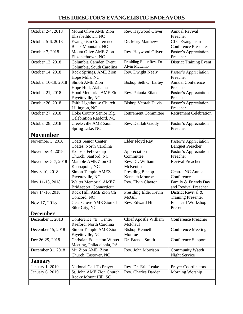| October 2-4, 2018      | Mount Olive AME Zion<br>Elizabethtown, NC                 | Rev. Haywood Oliver         | <b>Annual Revival</b><br>Preacher                    |
|------------------------|-----------------------------------------------------------|-----------------------------|------------------------------------------------------|
|                        |                                                           |                             |                                                      |
| October 5-6, 2018      | <b>Evangelism Conference</b><br><b>Black Mountain, NC</b> | Dr. Mary Matthews           | <b>CLC</b> Evangelism<br><b>Conference Presenter</b> |
| October 7, 2018        | Mount Olive AME Zion                                      | Rev. Haywood Oliver         | Pastor's Appreciation                                |
|                        | Elizabethtown, NC                                         |                             | Preacher                                             |
| October 13, 2018       | Columbia Camden Event                                     | Presiding Elder Rev. Dr.    | <b>District Training Event</b>                       |
|                        | Columbia, South Carolina                                  | Alvin McLamb                |                                                      |
| October 14, 2018       | Rock Springs, AME Zion                                    | Rev. Dwight Neely           | Pastor's Appreciation                                |
|                        | Hope Mills, NC                                            |                             | Preacher                                             |
| October 16-19, 2018    | <b>Shiloh AME Zion</b>                                    | Bishop Seth O. Lartey       | <b>Annual Conference</b>                             |
|                        | Hope Hull, Alabama                                        |                             | Preacher                                             |
| October 21, 2018       | <b>Hood Memorial AME Zion</b>                             | Rev. Patania Eiland         | Pastor's Appreciation                                |
|                        | Fayetteville, NC                                          |                             | Preacher                                             |
| October 26, 2018       | Faith Lighthouse Church                                   | <b>Bishop Veorah Davis</b>  | Pastor's Appreciation                                |
|                        |                                                           |                             |                                                      |
|                        | Lillington, NC                                            |                             | Preacher                                             |
| October 27, 2018       | Hoke County Senior Blg.                                   | <b>Retirement Committee</b> | <b>Retirement Celebration</b>                        |
|                        | Celebration Raeford, NC                                   |                             |                                                      |
| October 28, 2018       | Creeksville AME Zion                                      | Rev. Delilah Gaddy          | Pastor's Appreciation                                |
|                        | Spring Lake, NC                                           |                             | Preacher                                             |
| <b>November</b>        |                                                           |                             |                                                      |
| November 3, 2018       | <b>Coats Senior Center</b>                                | Elder Floyd Ray             | Pastor's Appreciation                                |
|                        |                                                           |                             |                                                      |
|                        | Coates, North Carolina                                    |                             | <b>Banquet Preacher</b>                              |
| November 4, 2018       | Exuosia Fellowship                                        | Appreciation                | Pastor's Appreciation                                |
|                        | Church, Sanford, NC                                       | Committee                   | Preacher                                             |
| November 5-7, 2018     | Marable AME Zion Ch                                       | Rev. Dr. William            | Revival Preacher                                     |
|                        | Kannapolis, NC                                            | McKenith                    |                                                      |
| Nov 8-10, 2018         | Simon Temple AMEZ                                         | Presiding Bishop            | Central NC Annual                                    |
|                        | Fayetteville, NC                                          | Kenneth Monroe              | Conference                                           |
| Nov 11-13, 2018        | <b>Walter Memorial AMEZ</b>                               | Rev. Elvin Clayton          | Family & Friends Day                                 |
|                        |                                                           |                             |                                                      |
|                        | Bridgeport, Connecticut                                   |                             | and Revival Preacher                                 |
| Nov 14-16, 2018        | Rock Hill, AME Zion Ch                                    | Presiding Elder Kevin       | District Revival &                                   |
|                        | Concord, NC                                               | McGill                      | <b>Training Presenter</b>                            |
| Nov 17, 2018           | Gees Grove AME Zion Ch                                    | Rev. Edward Hill            | <b>Financial Workshop</b>                            |
|                        | Siler City, NC                                            |                             | Presenter                                            |
| <b>December</b>        |                                                           |                             |                                                      |
| December 1, 2018       | Conference "B" Center                                     | Chief Apostle William       | <b>Conference Preacher</b>                           |
|                        | Raeford, North Carolina                                   | McPhaul                     |                                                      |
| December 15, 2018      | Simon Temple AME Zion                                     | <b>Bishop Kenneth</b>       | <b>Conference Meeting</b>                            |
|                        | Fayetteville, NC                                          | Monroe                      |                                                      |
|                        |                                                           |                             |                                                      |
| Dec 26-29, 2018        | <b>Christian Education Winter</b>                         | Dr. Brenda Smith            | Conference Support                                   |
|                        | Meeting, Philadelphia, PA                                 |                             |                                                      |
| December 31, 2018      | Mt. Zion AME Zion                                         | Rev. John Morrison          | Community Watch                                      |
|                        | Church, Eastover, NC                                      |                             | Night Service                                        |
| <b>January</b>         |                                                           |                             |                                                      |
| January 1, 2019        | National Call To Prayer                                   | Rev. Dr. Eric Leake         | <b>Prayer Coordinators</b>                           |
| <b>January 6, 2019</b> | St. John AME Zion Church                                  | Rev. Charles Darden         | Morning Worship                                      |
|                        | Rocky Mount Hill, SC                                      |                             |                                                      |
|                        |                                                           |                             |                                                      |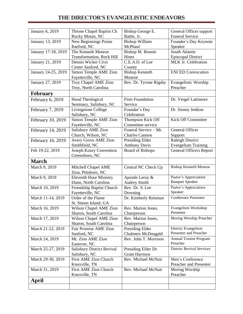| <b>January 6, 2019</b> | Throne Chapel Baptist Ch                          | Bishop George E.          | General Officer support                       |
|------------------------|---------------------------------------------------|---------------------------|-----------------------------------------------|
|                        | Rocky Mount, NC                                   | Battle, Jr.               | <b>Funeral Service</b>                        |
| January 13, 2019       | New Beginnings Praise                             | <b>Bishop William</b>     | Founder's Day Keynote                         |
|                        | Raeford, NC                                       | McPhaul                   | Speaker                                       |
| January 17-18, 2019    | The Kenneth Monroe                                | Bishop M. Bonnie          | South Atlantic                                |
|                        | <b>Transformation, Rock Hill</b>                  | Hines                     | <b>Episcopal District</b>                     |
| January 21, 2019       | Dennis Wicker Civic                               | C.E.A.D. of Lee           | MLK Jr. Celebration                           |
|                        | Center Sanford, NC                                | County                    |                                               |
| January 24-25, 2019    | Simon Temple AME Zion                             | <b>Bishop Kenneth</b>     | <b>ENCED</b> Convocation                      |
|                        | Fayetteville, NC                                  | Monroe                    |                                               |
| January 27, 2019       | Troy Chapel AME Zion                              | Rev. Dr. Tyrone Rigsby    | Evangelistic Worship                          |
|                        | Troy, North Carolina                              |                           | Preacher                                      |
| <b>February</b>        |                                                   |                           |                                               |
| February 6, 2019       | Hood Theological                                  | Firm Foundation           | Dr. Vergel Lattimore                          |
|                        | Seminary, Salisbury, NC                           | Service                   |                                               |
| February 7, 2019       | Livingstone College                               | Founder's Day             | Dr. Jimmy Jenkins                             |
|                        | Salisbury, NC                                     | Celebration               |                                               |
| February 10, 2019      | Simon Temple AME Zion                             | Thompson Kick Off         | <b>Kick Off Committee</b>                     |
|                        | Fayetteville, NC                                  | Committee service         |                                               |
| February 14, 2019      | Salisbury AME Zion                                | Funeral Service - Mr.     | General Officer                               |
|                        | Church, Wilson, NC                                | <b>Charles Cannon</b>     | Support                                       |
| February 16, 2019      | Avery Grove AME Zion                              | Presiding Elder           | <b>Raleigh District</b>                       |
|                        | Smithfield, NC                                    | <b>Anthony Davis</b>      | <b>Evangelism Training</b>                    |
| Feb 19-22, 2019        | Joseph Koury Convention                           | <b>Board of Bishops</b>   | <b>General Officers Report</b>                |
|                        | Greensboro, NC                                    |                           |                                               |
| <b>March</b>           |                                                   |                           |                                               |
| March 9, 2019          | Mitchell Chapel AME                               | Central NC Check Up       | <b>Bishop Kenneth Monroe</b>                  |
|                        | Zion, Pittsboro, NC                               |                           |                                               |
| March 9, 2019          | <b>Eleventh Hour Ministry</b>                     | Apostle Leroy &           | Pastor's Appreciation                         |
|                        | Dunn, North Carolina                              | <b>Audrey Smith</b>       | <b>Banquet Speaker</b>                        |
| March 10, 2019         | Friendship Baptist Church                         | Rev. Dr. S. Lee           | Pastor's Appreciation                         |
|                        | Fayetteville, NC                                  | Downing                   | Speaker                                       |
| March 11-14, 2019      | Order of the Flame                                | Dr. Kimberly Reisman      | <b>Conference Presenter</b>                   |
|                        | St. Simon Island, GA                              |                           |                                               |
| March 16, 2019         | Wilson Chapel AME Zion                            | Rev. Marion Jones,        | Evangelism Workshop                           |
|                        | Sharon, South Carolina                            | Chairperson               | Presenter                                     |
| March 17, 2019         | Wilson Chapel AME Zion                            | Rev. Marion Jones,        | Moring Worship Preacher                       |
|                        | Sharon, South Carolina                            | Chairperson               |                                               |
| March 21-22, 2019      | Fair Promise AME Zion                             | Presiding Elder           | District Evangelism<br>Presenter and Preacher |
|                        | Sanford, NC                                       | <b>Chalmers McDougald</b> |                                               |
| March 24, 2019         | Mt. Zion AME Zion                                 | Rev. John T. Morrison     | Annual Trustee Program<br>Preacher            |
| March 25-27, 2019      | Eastover, NC<br><b>Salisbury District Revival</b> | Presiding Elder Dr.       | <b>District Revival Services</b>              |
|                        | Salisbury, NC                                     | <b>Grant Harrison</b>     |                                               |
| March 29-30, 2019      | First AME Zion Church                             | Rev. Michael McNair       | Men's Conference                              |
|                        | Knoxville, TN                                     |                           | Preacher and Presenter                        |
| March 31, 2019         |                                                   | Rev. Michael McNair       | Moring Worship                                |
|                        |                                                   |                           |                                               |
|                        | First AME Zion Church                             |                           |                                               |
| April                  | Knoxville, TN                                     |                           | Preacher                                      |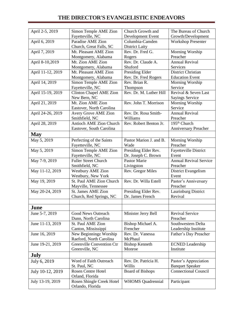| April 2-5, 2019   | Simon Temple AME Zion                            | Church Growth and                        | The Bureau of Church               |
|-------------------|--------------------------------------------------|------------------------------------------|------------------------------------|
|                   | Fayetteville, NC                                 | Development Event                        | Growth/Development                 |
| April 6, 2019     | Paradise AME Zion<br>Church, Great Falls, SC     | Columbia-Camden<br><b>District Laity</b> | <b>Workshop Presenter</b>          |
| April 7, 2019     | Mt. Pleasant AME Zion                            | Rev. Dr. Fred G.                         | Morning Worship                    |
|                   | Montgomery, Alabama                              | Rogers                                   | Preacher                           |
| April 8-10,2019   | Mt. Zion AME Zion                                | Rev. Dr. Claude A.                       | Annual Revival                     |
|                   | Montgomery, Alabama                              | Shuford                                  | Services                           |
| April 11-12, 2019 | Mt. Pleasant AME Zion                            | Presiding Elder                          | District Christian                 |
|                   | Montgomery, Alabama                              | Rev. Dr. Fred Rogers                     | <b>Education Event</b>             |
| April 14, 2019    | Simon Temple AME Zion                            | Rev. Brian R.                            | Morning Worship                    |
|                   | Fayetteville, NC                                 | Thompson                                 | Service                            |
| April 15-19, 2019 | Clinton Chapel AME Zion                          | Rev. Dr. M. Luther Hill                  | Revival & Seven Last               |
|                   | New Bern, NC                                     |                                          | <b>Sayings Service</b>             |
| April 21, 2019    | Mt. Zion AME Zion                                | Rev. John T. Morrison                    | Morning Worship                    |
|                   | Eastover, North Carolina                         |                                          | Service                            |
| April 24-26, 2019 | Avery Grove AME Zion                             | Rev. Dr. Rosa Smith-                     | <b>Annual Revival</b>              |
|                   | Smithfield, NC                                   | Williams                                 | Preacher                           |
| April 28, 2019    | <b>Antioch AME Zion Church</b>                   | Rev. Robert Benton Jr.                   | 195 <sup>th</sup> Church           |
|                   | Eastover, South Carolina                         |                                          | <b>Anniversary Preacher</b>        |
| <b>May</b>        |                                                  |                                          |                                    |
| May 5, 2019       | Perfecting of the Saints                         | Pastor Marion J. and B.                  | Morning Worship                    |
|                   | Fayetteville, NC                                 | Wade                                     | Preacher                           |
| May 5, 2019       | Simon Temple AME Zion                            | Presiding Elder Rev.                     | <b>Fayetteville District</b>       |
|                   | Fayetteville, NC                                 | Dr. Joseph C. Brown                      | Event                              |
| May 7-9, 2019     | <b>Fuller Street Church</b>                      | <b>Pastor Marie</b>                      | <b>Annual Revival Service</b>      |
|                   | Smithfield, NC                                   | Livingston                               | Preacher                           |
| May 11-12, 2019   | <b>Westbury AME Zion</b>                         | Rev. Gregor Miles                        | District Evangelism                |
|                   | Westbury, New York                               |                                          | Event                              |
| May 19, 2019      | St. Paul AME Zion Church                         | Rev. Dr. Willa Estell                    | Pastor's Anniversary               |
|                   | Mayville, Tennessee<br><b>St. James AME Zion</b> |                                          | Preacher                           |
| May 20-24, 2019   |                                                  | Presiding Elder Rev.<br>Dr. James French | Laurinburg District<br>Revival     |
|                   | Church, Red Springs, NC                          |                                          |                                    |
| June              |                                                  |                                          |                                    |
|                   | Good News Outreach                               |                                          |                                    |
| June 5-7, 2019    |                                                  | Minister Jerry Bell                      | <b>Revival Service</b><br>Preacher |
| June 11-13, 2019  | Dunn, North Carolina<br>St. Paul AME Zion        | Bishop Michael A.                        | Southwestern Delta                 |
|                   | Canton, Mississippi                              | Frencher                                 | Leadership Institute               |
| June 16, 2019     | New Beginningz Worship                           | Rev. Dr. Vanessa                         | Father's Day Preacher              |
|                   | Raeford, North Carolina                          | McPhaul                                  |                                    |
| June 19-21, 2019  | Greenville Convention Ctr                        | <b>Bishop Kenneth</b>                    | <b>ECNED</b> Leadership            |
|                   | Greenville, NC                                   | Monroe                                   | Institute                          |
| July              |                                                  |                                          |                                    |
| July 6, 2019      | Word of Faith Outreach                           | Rev. Dr. Patricia H.                     | Pastor's Appreciation              |
|                   | St. Paul, NC                                     | Willis                                   | <b>Banquet Speaker</b>             |
| July 10-12, 2019  | <b>Rosen Centre Hotel</b>                        | <b>Board of Bishops</b>                  | <b>Connectional Council</b>        |
|                   | Orland, Florida                                  |                                          |                                    |
| July 13-19, 2019  | Rosen Shingle Creek Hotel                        | <b>WHOMS</b> Quadrennial                 | Participant                        |
|                   | Orlando, Florida                                 |                                          |                                    |